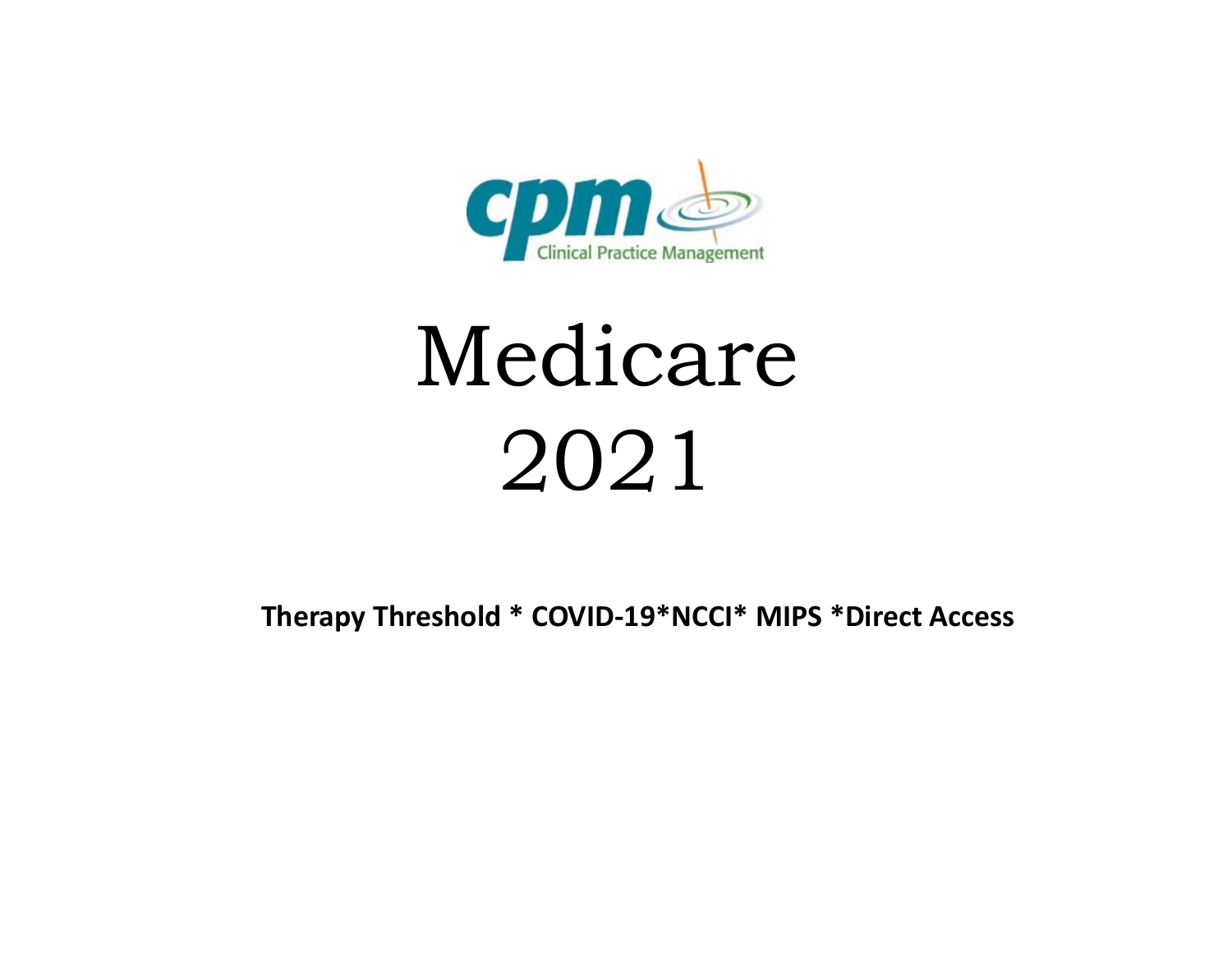

# Medicare 2021

**Therapy Threshold \* COVID‐19\*NCCI\* MIPS \*Direct Access**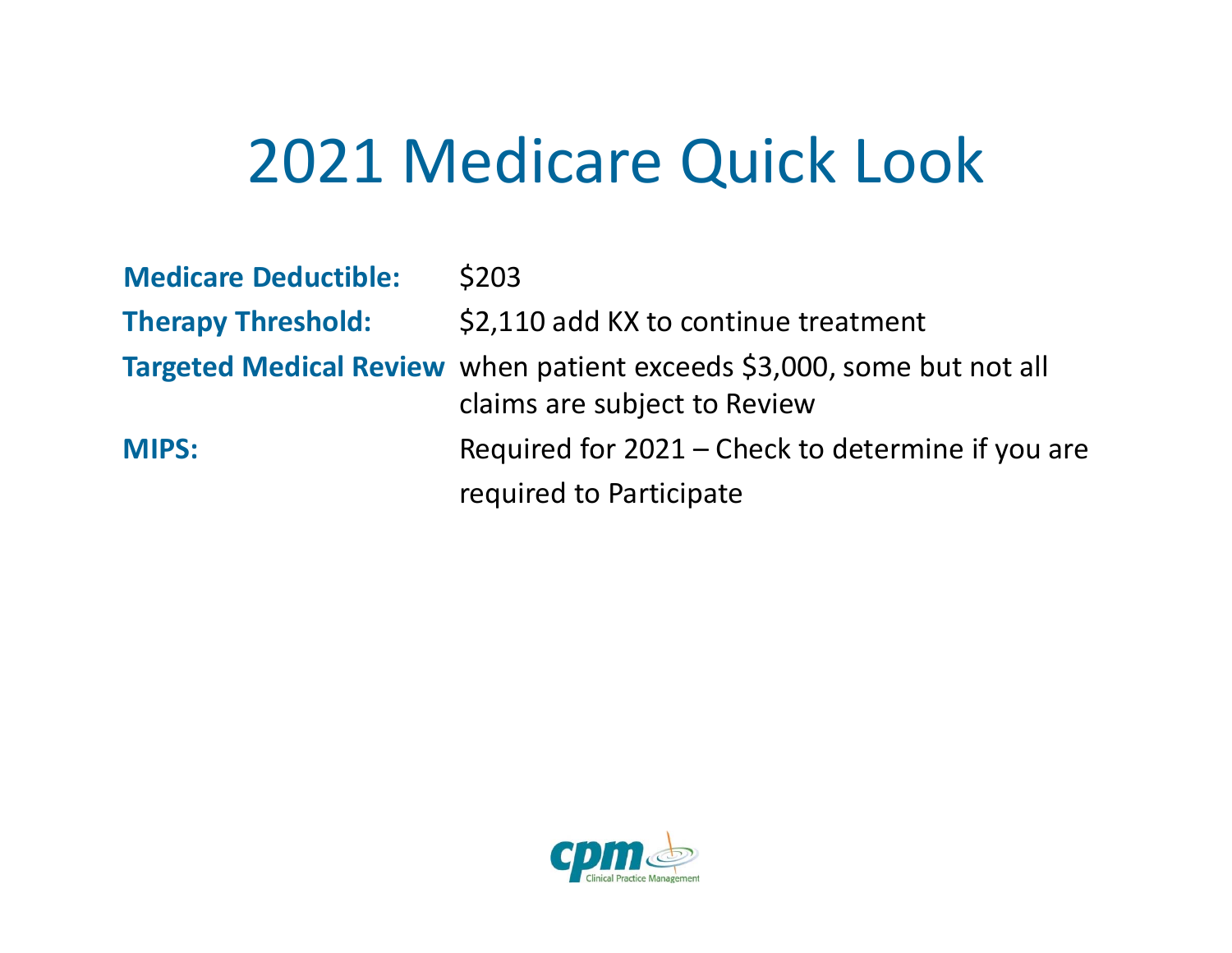#### 2021 Medicare Quick Look

| <b>Medicare Deductible:</b> | <b>\$203</b>                                                                                           |
|-----------------------------|--------------------------------------------------------------------------------------------------------|
| <b>Therapy Threshold:</b>   | \$2,110 add KX to continue treatment                                                                   |
|                             | Targeted Medical Review when patient exceeds \$3,000, some but not all<br>claims are subject to Review |
| <b>MIPS:</b>                | Required for 2021 – Check to determine if you are                                                      |
|                             | required to Participate                                                                                |

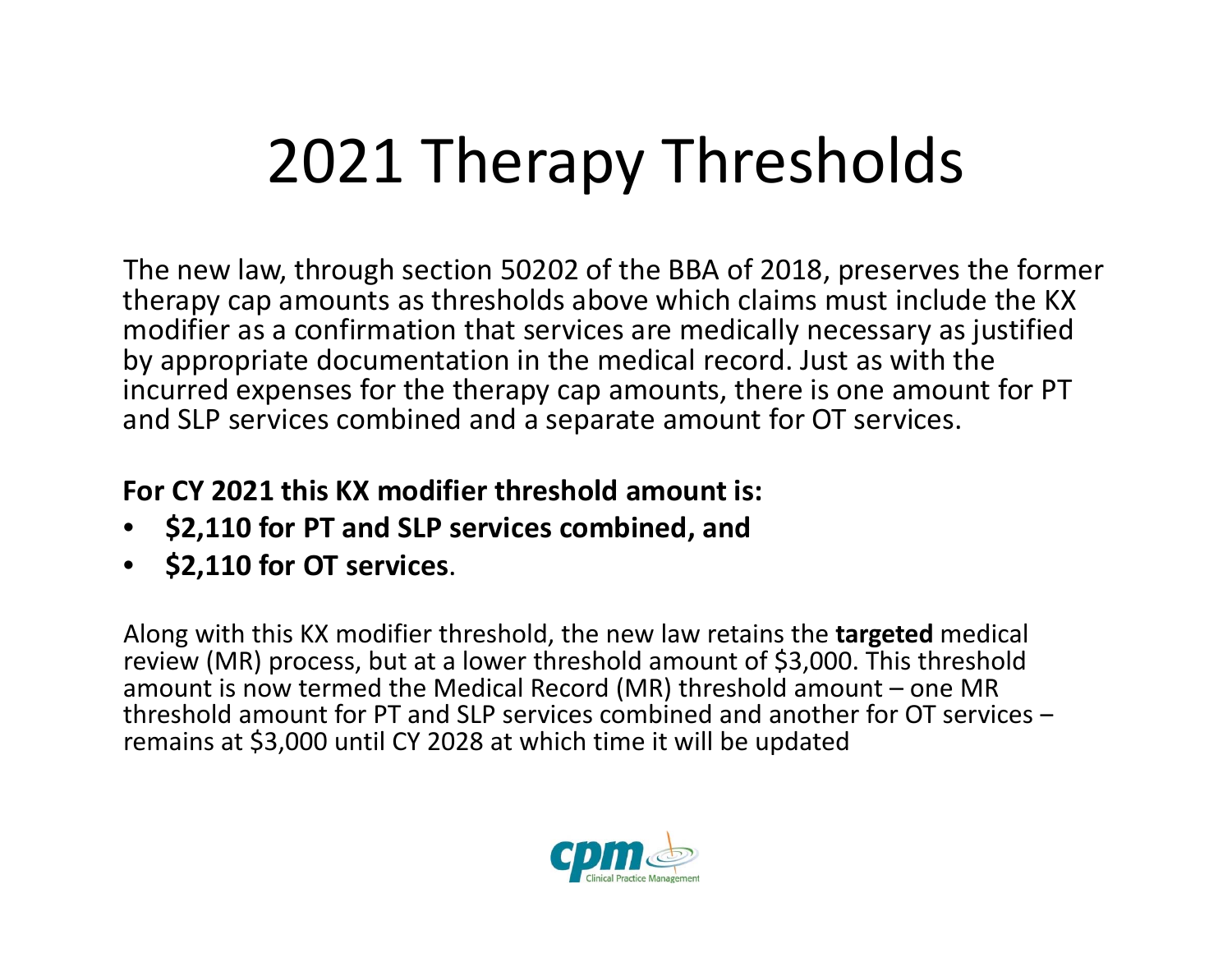## 2021 Therapy Thresholds

The new law, through section 50202 of the BBA of 2018, preserves the former therapy cap amounts as thresholds above which claims must include the KX modifier as a confirmation that services are medically necessary as justified by appropriate documentation in the medical record. Just as with the incurred expenses for the therapy cap amounts, there is one amount for PT and SLP services combined and <sup>a</sup> separate amount for OT services.

#### **For CY 2021 this KX modifier threshold amount is:**

- •**\$2,110 for PT and SLP services combined, and**
- **\$2,110 for OT services**.

Along with this KX modifier threshold, the new law retains the **targeted** medical review (MR) process, but at <sup>a</sup> lower threshold amount of \$3,000. This threshold amount is now termed the Medical Record (MR) threshold amount – one MR threshold amount for PT and SLP services combined and another for OT services  $$ remains at \$3,000 until CY 2028 at which time it will be updated

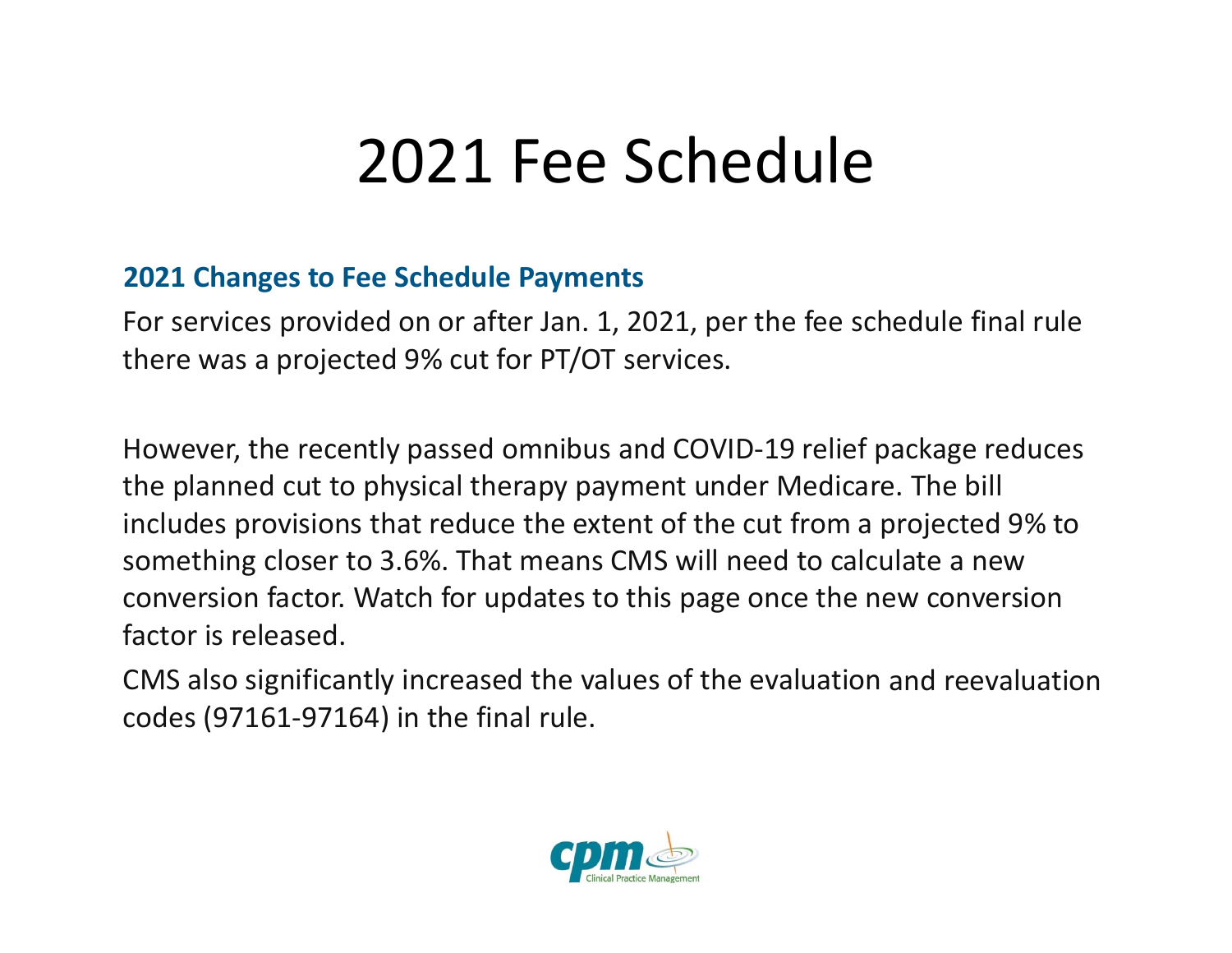#### 2021 Fee Schedule

#### **2021 Changes to Fee Schedule Payments**

For services provided on or after Jan. 1, 2021, per the fee schedule final rule there was <sup>a</sup> projected 9% cut for PT/OT services.

However, the recently passed omnibus and COVID‐19 relief package reduces the planned cut to physical therapy payment under Medicare. The bill includes provisions that reduce the extent of the cut from <sup>a</sup> projected 9% to something closer to 3.6%. That means CMS will need to calculate <sup>a</sup> new conversion factor. Watch for updates to this page once the new conversion factor is released.

CMS also significantly increased the values of the evaluation and reevaluation codes (97161‐97164) in the final rule.

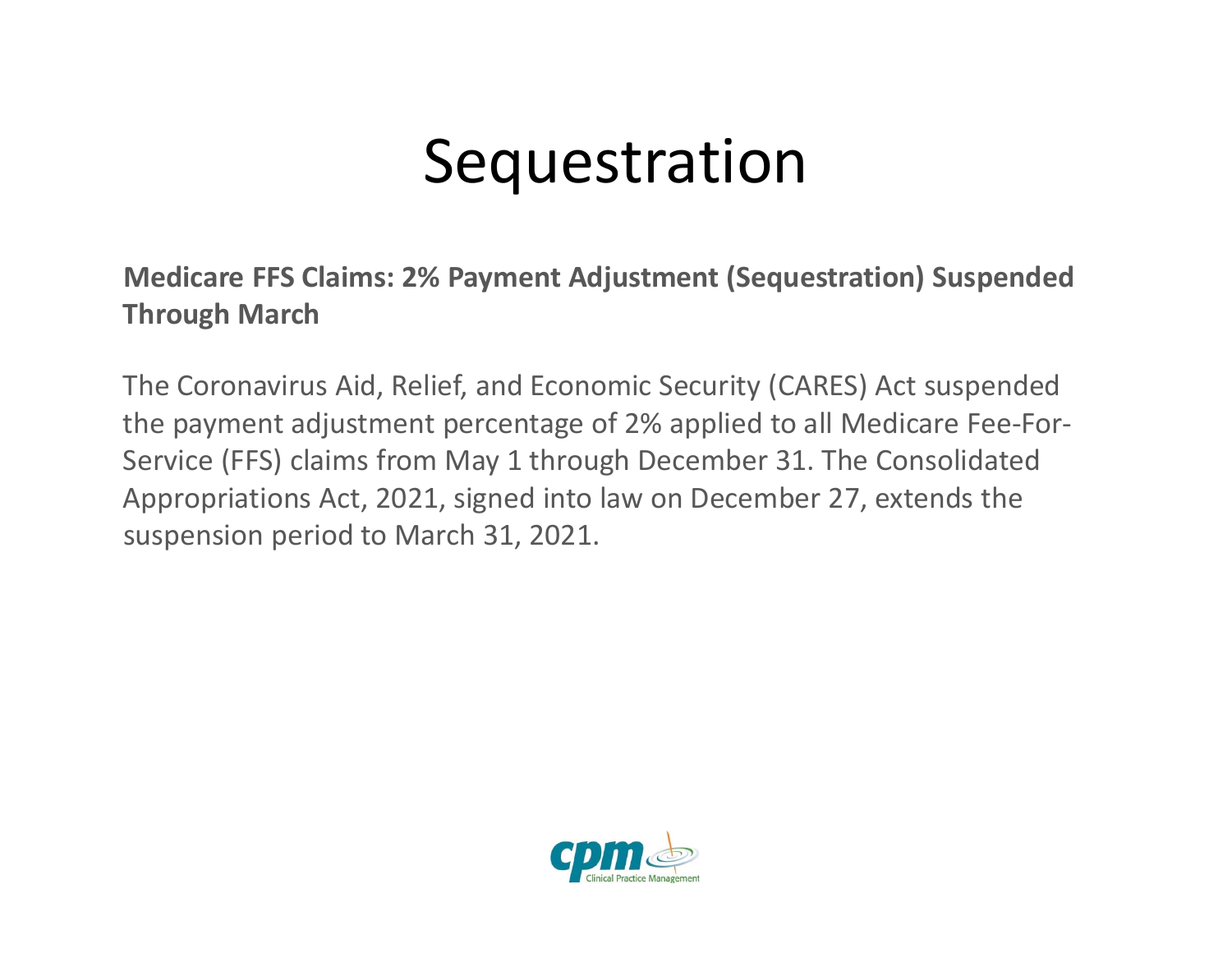#### **Sequestration**

**Medicare FFS Claims: 2% Payment Adjustment (Sequestration) Suspended Through March**

The Coronavirus Aid, Relief, and Economic Security (CARES) Act suspended the payment adjustment percentage of 2% applied to all Medicare Fee‐For‐ Service (FFS) claims from May 1 through December 31. The Consolidated Appropriations Act, 2021, signed into law on December 27, extends the suspension period to March 31, 2021.

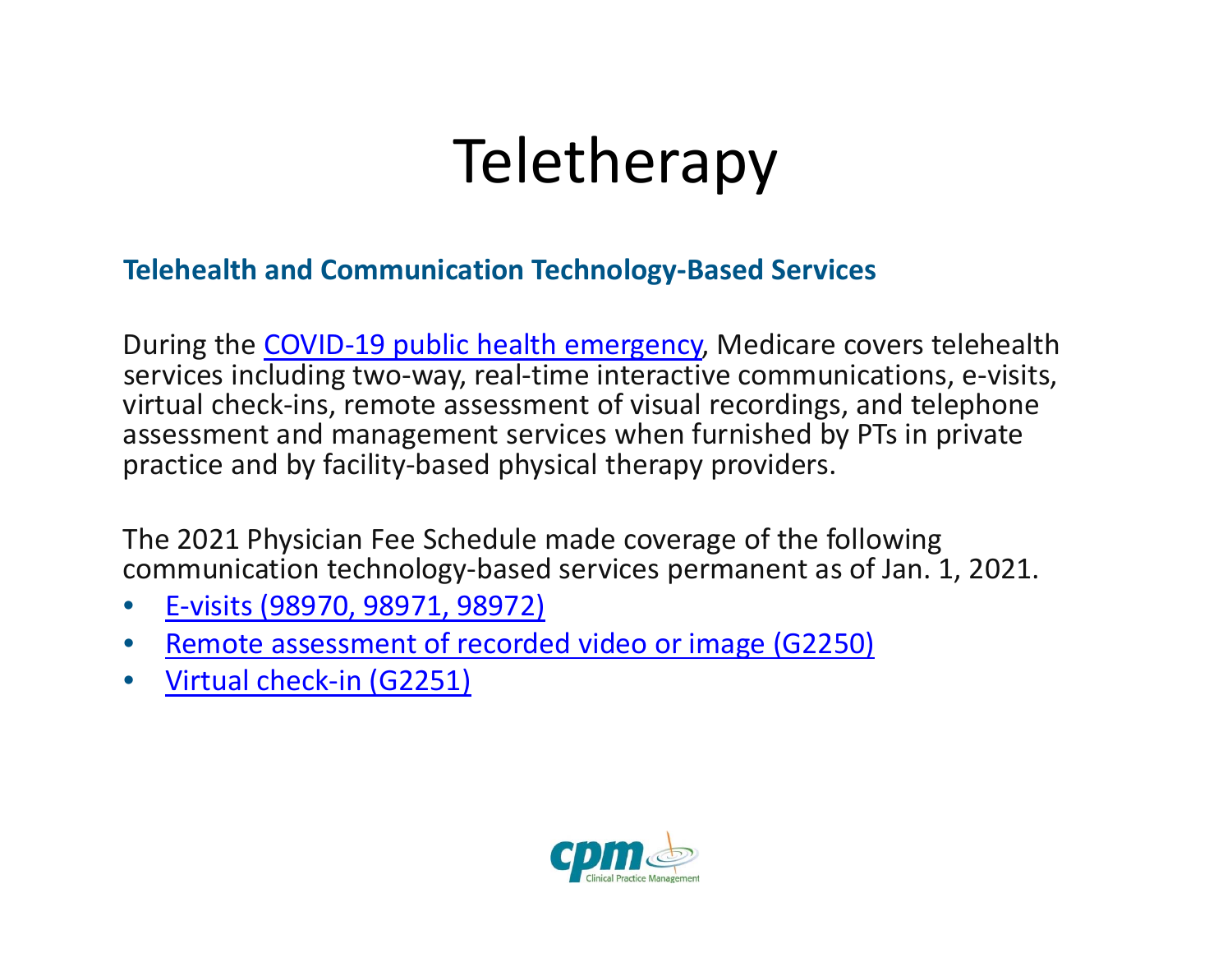## **Teletherapy**

#### **Telehealth and Communication Technology‐Based Services**

During the COVID-19 public health emergency, Medicare covers telehealth services including two‐way, real‐time interactive communications, <sup>e</sup>‐visits, virtual check‐ins, remote assessment of visual recordings, and telephone assessment and management services when furnished by PTs in private practice and by facility‐based physical therapy providers.

The 2021 Physician Fee Schedule made coverage of the following communication technology‐based services permanent as of Jan. 1, 2021.

- •E‐visits (98970, 98971, 98972)
- $\bullet$ • Remote assessment of recorded video or image (G2250)
- •● Virtual check-in (G2251)

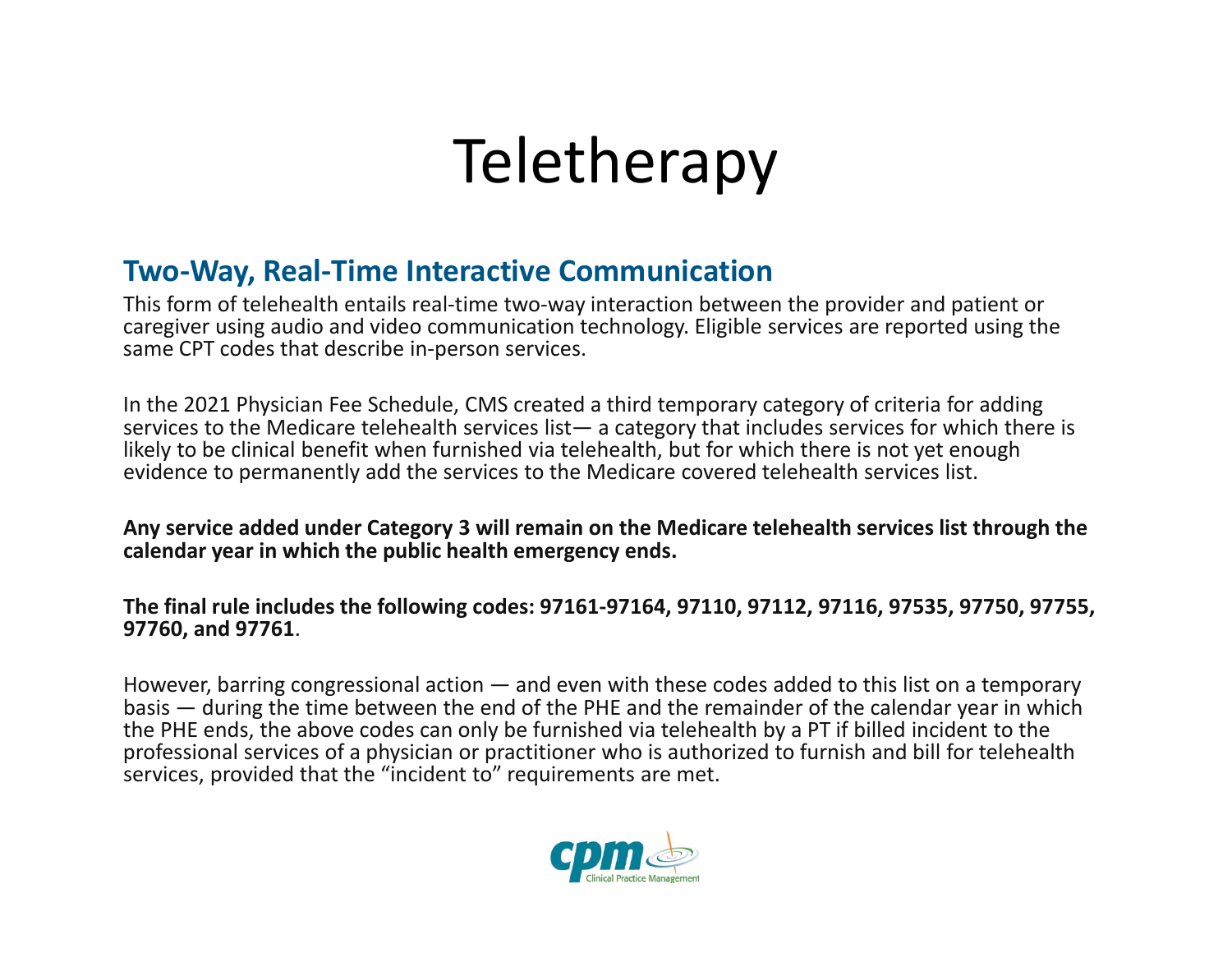## **Teletherapy**

#### **Two‐Way, Real‐Time Interactive Communication**

This form of telehealth entails real‐time two‐way interaction between the provider and patient or caregiver using audio and video communication technology. Eligible services are reported using the same CPT codes that describe in‐person services.

In the 2021 Physician Fee Schedule, CMS created <sup>a</sup> third temporary category of criteria for adding services to the Medicare telehealth services list— <sup>a</sup> category that includes services for which there is likely to be clinical benefit when furnished via telehealth, but for which there is not yet enough evidence to permanently add the services to the Medicare covered telehealth services list.

**Any service added under Category 3 will remain on the Medicare telehealth services list through the calendar year in which the public health emergency ends.**

#### **The final rule includes the following codes: 97161‐97164, 97110, 97112, 97116, 97535, 97750, 97755, 97760, and 97761**.

However, barring congressional action — and even with these codes added to this list on <sup>a</sup> temporary basis — during the time between the end of the PHE and the remainder of the calendar year in which the PHE ends, the above codes can only be furnished via telehealth by <sup>a</sup> PT if billed incident to the professional services of <sup>a</sup> physician or practitioner who is authorized to furnish and bill for telehealth services, provided that the "incident to" requirements are met.

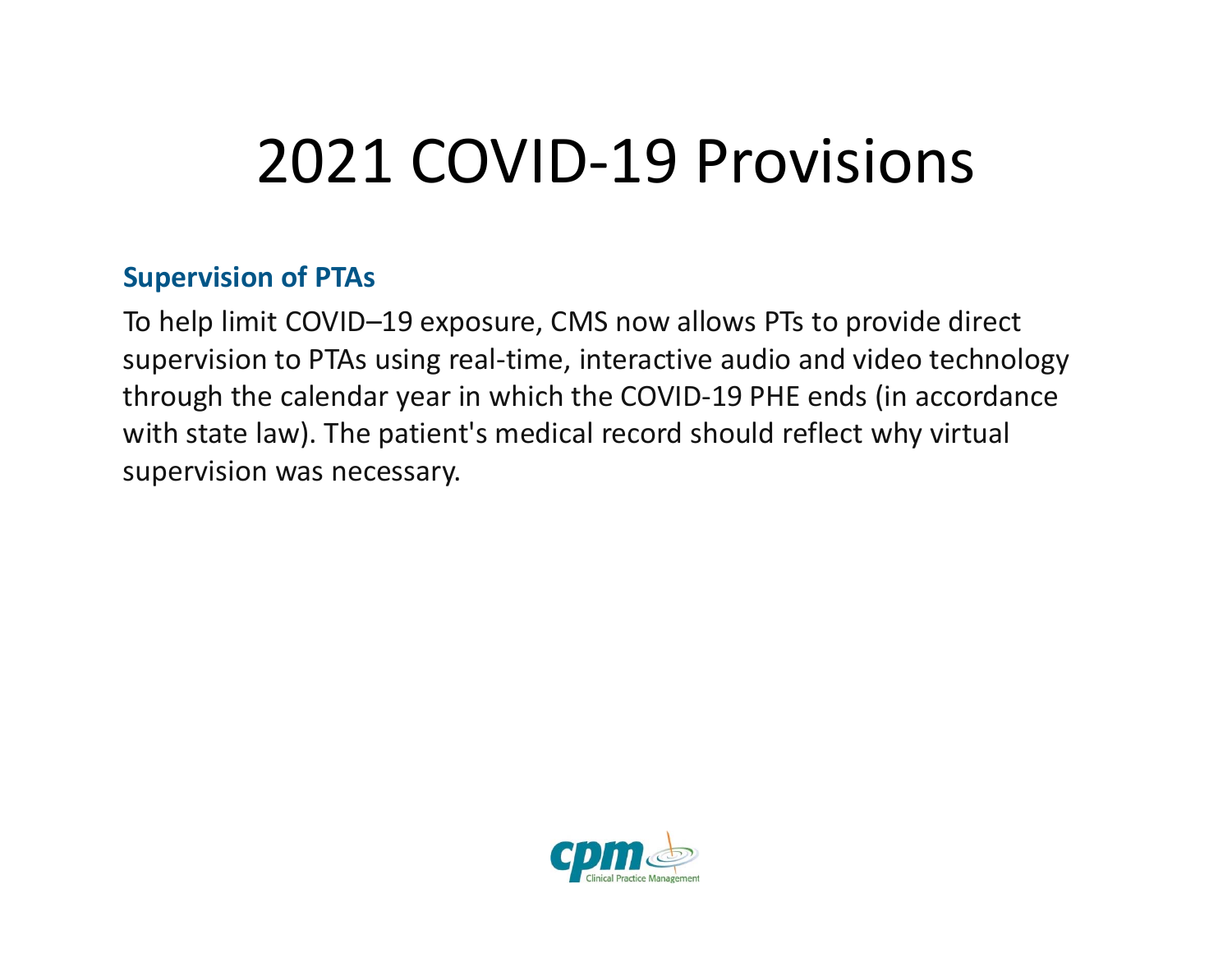### 2021 COVID‐19 Provisions

#### **Supervision of PTAs**

To help limit COVID–19 exposure, CMS now allows PTs to provide direct supervision to PTAs using real‐time, interactive audio and video technology through the calendar year in which the COVID‐19 PHE ends (in accordance with state law). The patient's medical record should reflect why virtual supervision was necessary.

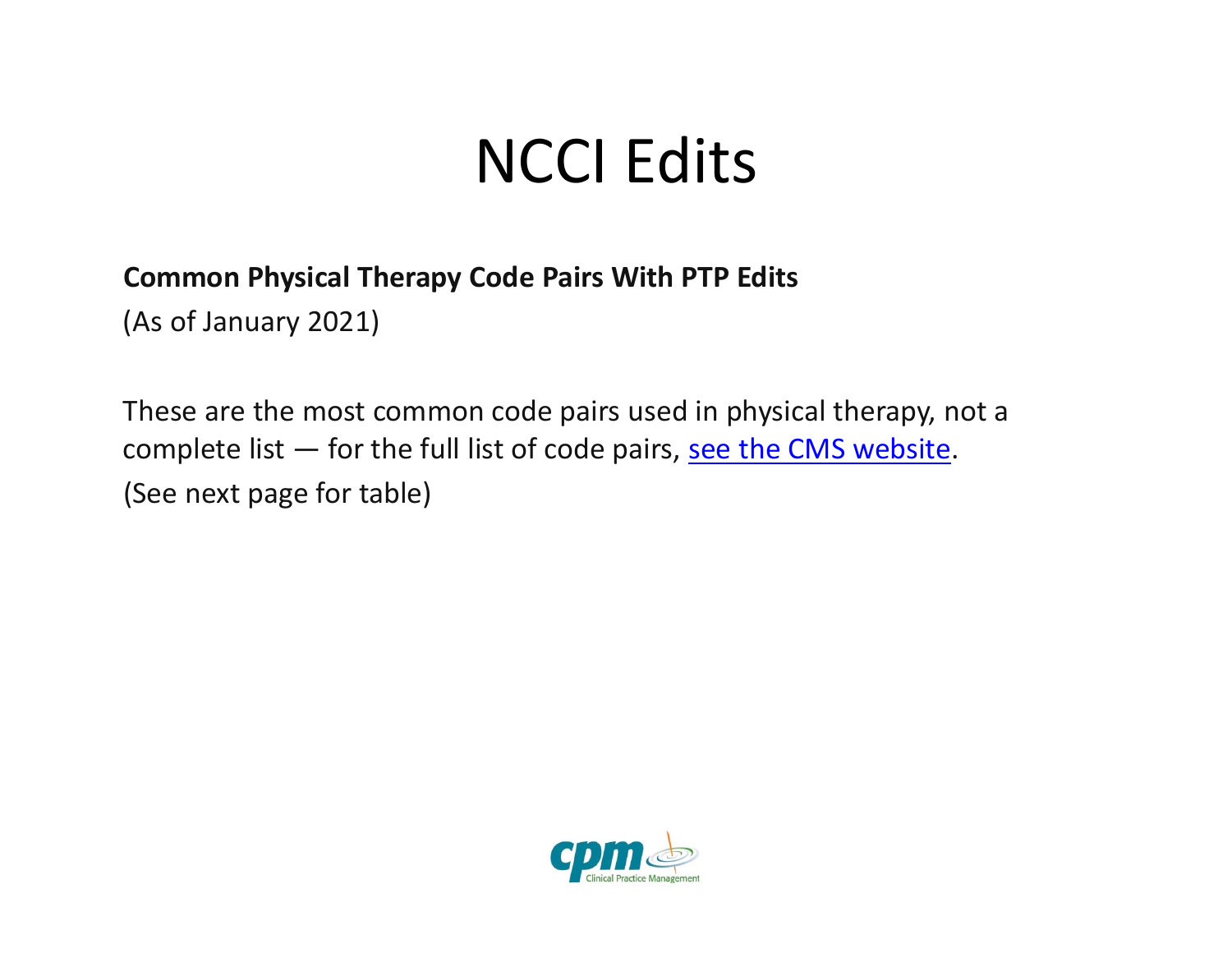### NCCI Edits

#### **Common Physical Therapy Code Pairs With PTP Edits**

(As of January 2021)

These are the most common code pairs used in physical therapy, not <sup>a</sup> complete list  $-$  for the full list of code pairs, see the CMS website. (See next page for table)

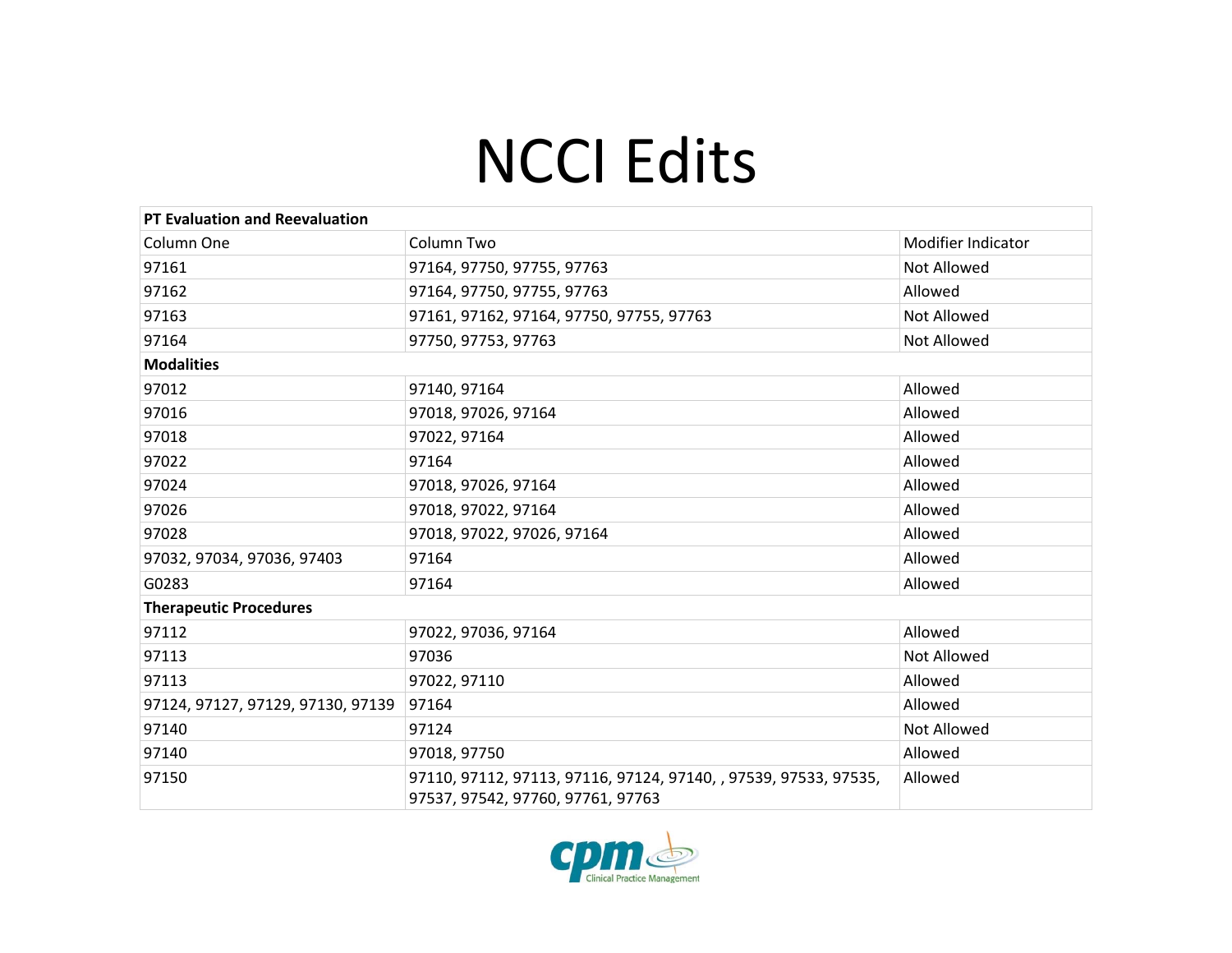### NCCI Edits

| <b>PT Evaluation and Reevaluation</b> |                                                                                                       |                    |
|---------------------------------------|-------------------------------------------------------------------------------------------------------|--------------------|
| Column One                            | Column Two                                                                                            | Modifier Indicator |
| 97161                                 | 97164, 97750, 97755, 97763                                                                            | <b>Not Allowed</b> |
| 97162                                 | 97164, 97750, 97755, 97763                                                                            | Allowed            |
| 97163                                 | 97161, 97162, 97164, 97750, 97755, 97763                                                              | Not Allowed        |
| 97164                                 | 97750, 97753, 97763                                                                                   | <b>Not Allowed</b> |
| <b>Modalities</b>                     |                                                                                                       |                    |
| 97012                                 | 97140, 97164                                                                                          | Allowed            |
| 97016                                 | 97018, 97026, 97164                                                                                   | Allowed            |
| 97018                                 | 97022, 97164                                                                                          | Allowed            |
| 97022                                 | 97164                                                                                                 | Allowed            |
| 97024                                 | 97018, 97026, 97164                                                                                   | Allowed            |
| 97026                                 | 97018, 97022, 97164                                                                                   | Allowed            |
| 97028                                 | 97018, 97022, 97026, 97164                                                                            | Allowed            |
| 97032, 97034, 97036, 97403            | 97164                                                                                                 | Allowed            |
| G0283                                 | 97164                                                                                                 | Allowed            |
| <b>Therapeutic Procedures</b>         |                                                                                                       |                    |
| 97112                                 | 97022, 97036, 97164                                                                                   | Allowed            |
| 97113                                 | 97036                                                                                                 | <b>Not Allowed</b> |
| 97113                                 | 97022, 97110                                                                                          | Allowed            |
| 97124, 97127, 97129, 97130, 97139     | 97164                                                                                                 | Allowed            |
| 97140                                 | 97124                                                                                                 | Not Allowed        |
| 97140                                 | 97018, 97750                                                                                          | Allowed            |
| 97150                                 | 97110, 97112, 97113, 97116, 97124, 97140, , 97539, 97533, 97535,<br>97537, 97542, 97760, 97761, 97763 | Allowed            |

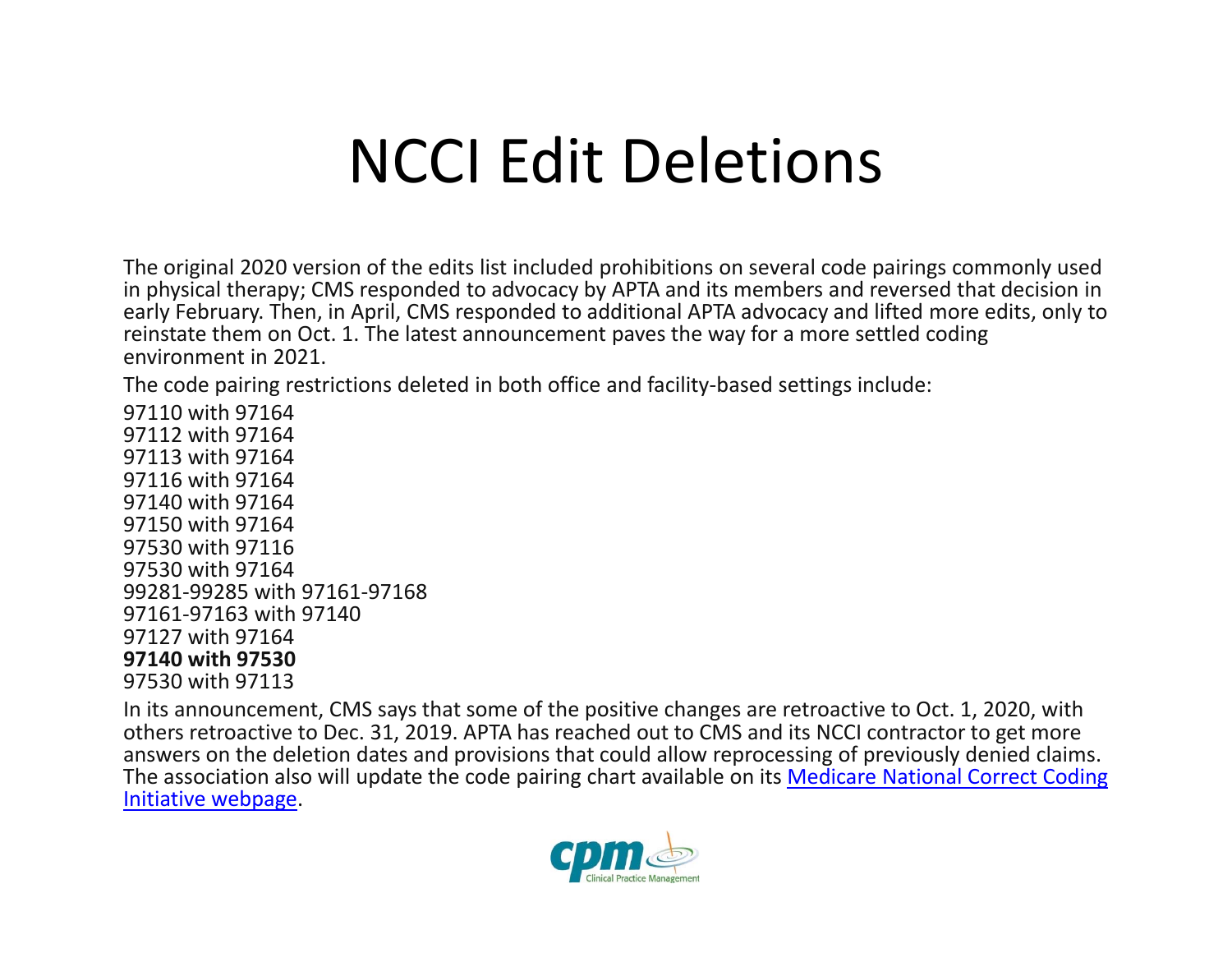#### NCCI Edit Deletions

The original 2020 version of the edits list included prohibitions on several code pairings commonly used in physical therapy; CMS responded to advocacy by APTA and its members and reversed that decision in early February. Then, in April, CMS responded to additional APTA advocacy and lifted more edits, only to reinstate them on Oct. 1. The latest announcement paves the way for <sup>a</sup> more settled coding environment in 2021.

The code pairing restrictions deleted in both office and facility‐based settings include:

 with 97164 with 97164 with 97164 with 97164 with 97164 with 97164 with 97116 with 97164 ‐99285 with 97161‐97168 ‐97163 with 97140 with 97164 **with 97530** with 97113

In its announcement, CMS says that some of the positive changes are retroactive to Oct. 1, 2020, with others retroactive to Dec. 31, 2019. APTA has reached out to CMS and its NCCI contractor to get more answers on the deletion dates and provisions that could allow reprocessing of previously denied claims. The association also will update the code pairing chart available on its <u>Medicare National Correct Coding</u> **Initiative webpage**.

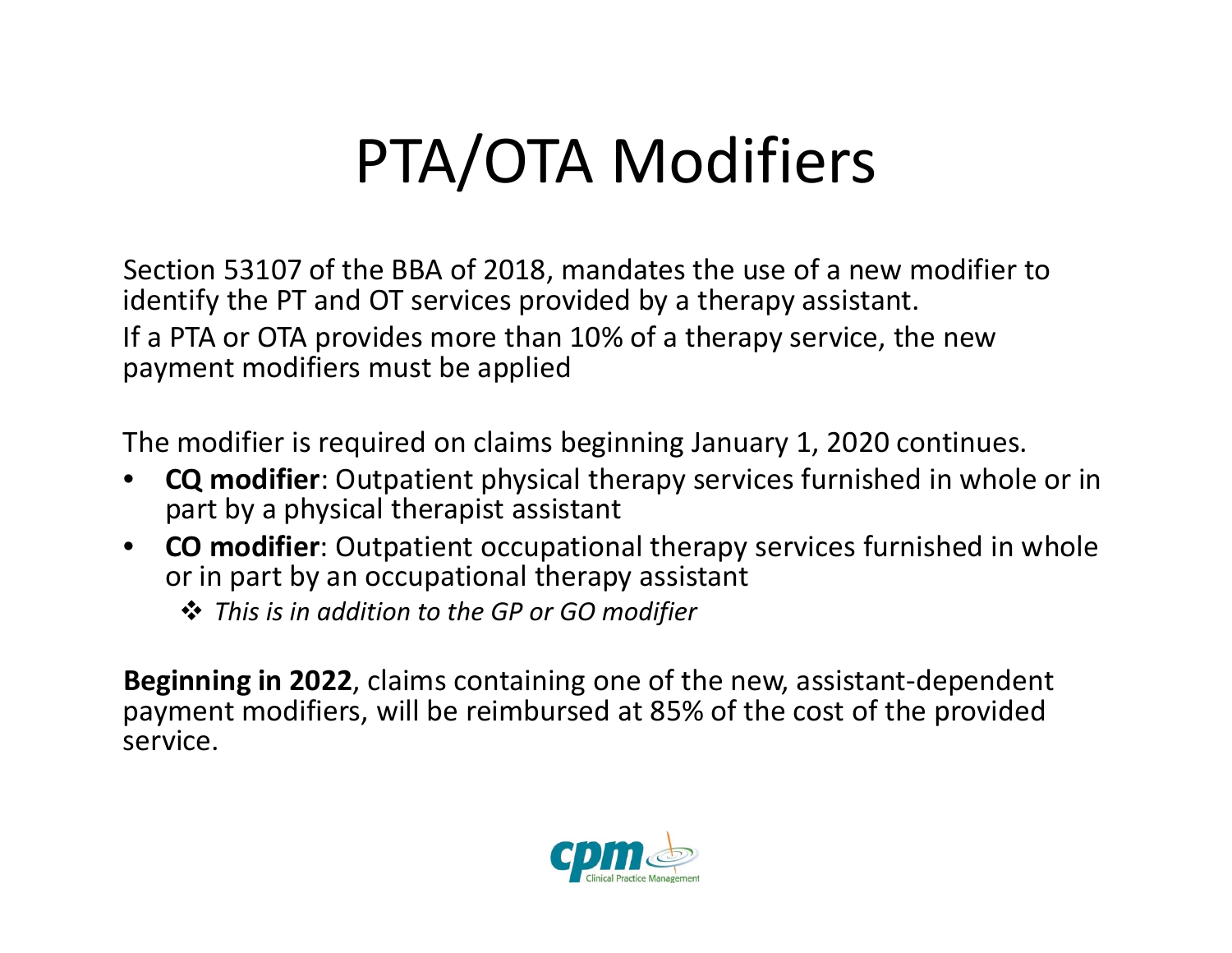## PTA/OTA Modifiers

Section 53107 of the BBA of 2018, mandates the use of <sup>a</sup> new modifier to identify the PT and OT services provided by <sup>a</sup> therapy assistant. If a PTA or OTA provides more than 10% of <sup>a</sup> therapy service, the new payment modifiers must be applied

The modifier is required on claims beginning January 1, 2020 continues.

- • **CQ modifier**: Outpatient physical therapy services furnished in whole or in part by <sup>a</sup> physical therapist assistant
- • **CO modifier**: Outpatient occupational therapy services furnished in whole or in part by an occupational therapy assistant
	- *This is in addition to the GP or GO modifier*

**Beginning in 2022**, claims containing one of the new, assistant‐dependent payment modifiers, will be reimbursed at 85% of the cost of the provided service.

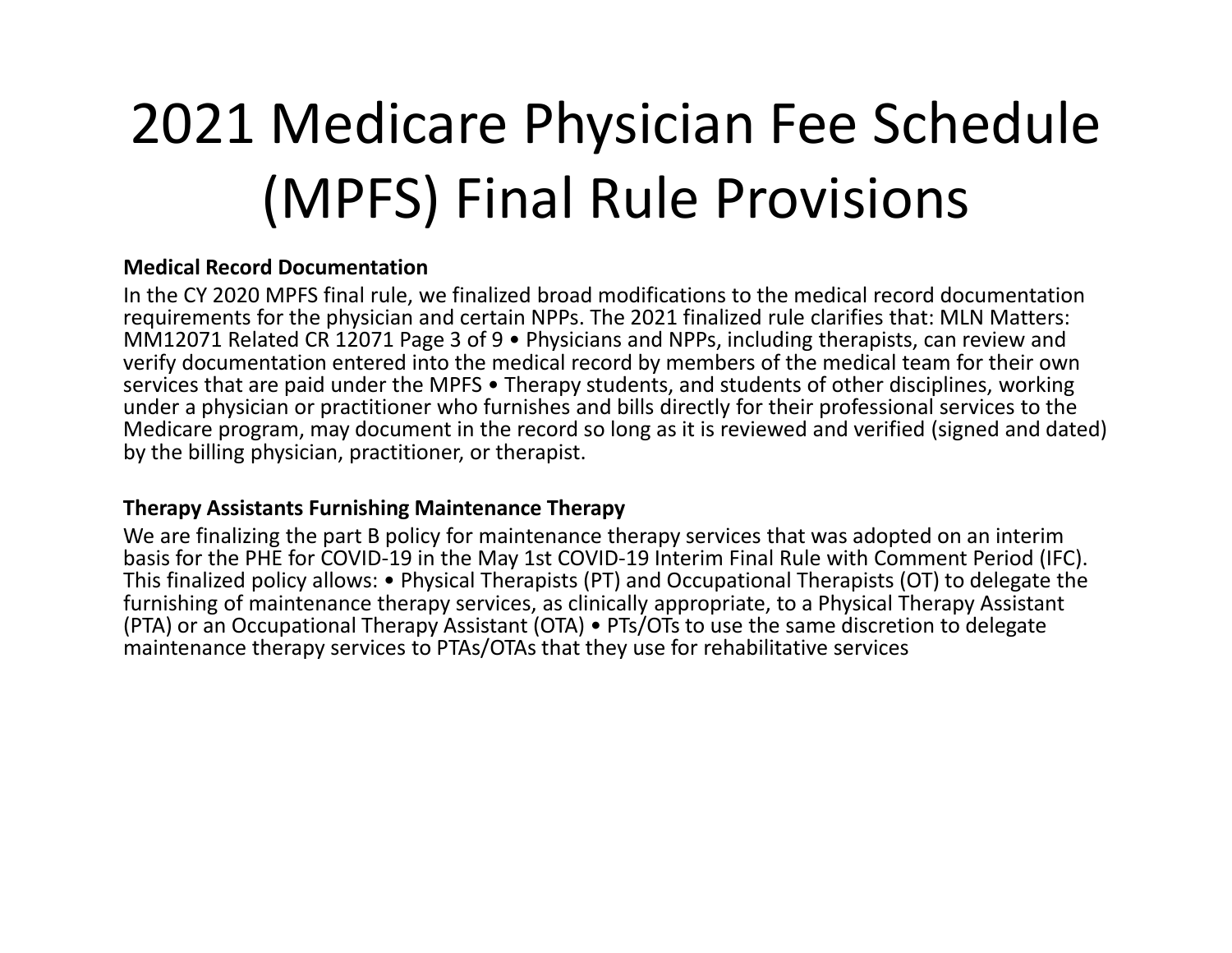### 2021 Medicare Physician Fee Schedule (MPFS) Final Rule Provisions

#### **Medical Record Documentation**

In the CY 2020 MPFS final rule, we finalized broad modifications to the medical record documentation requirements for the physician and certain NPPs. The 2021 finalized rule clarifies that: MLN Matters: MM12071 Related CR 12071 Page 3 of 9 • Physicians and NPPs, including therapists, can review and verify documentation entered into the medical record by members of the medical team for their own services that are paid under the MPFS • Therapy students, and students of other disciplines, working under a physician or practitioner who furnishes and bills directly for their professional services to the Medicare program, may document in the record so long as it is reviewed and verified (signed and dated) by the billing physician, practitioner, or therapist.

#### **Therapy Assistants Furnishing Maintenance Therapy**

We are finalizing the part B policy for maintenance therapy services that was adopted on an interim basis for the PHE for COVID‐19 in the May 1st COVID‐19 Interim Final Rule with Comment Period (IFC). This finalized policy allows: • Physical Therapists (PT) and Occupational Therapists (OT) to delegate the furnishing of maintenance therapy services, as clinically appropriate, to <sup>a</sup> Physical Therapy Assistant (PTA) or an Occupational Therapy Assistant (OTA) • PTs/OTs to use the same discretion to delegate maintenance therapy services to PTAs/OTAs that they use for rehabilitative services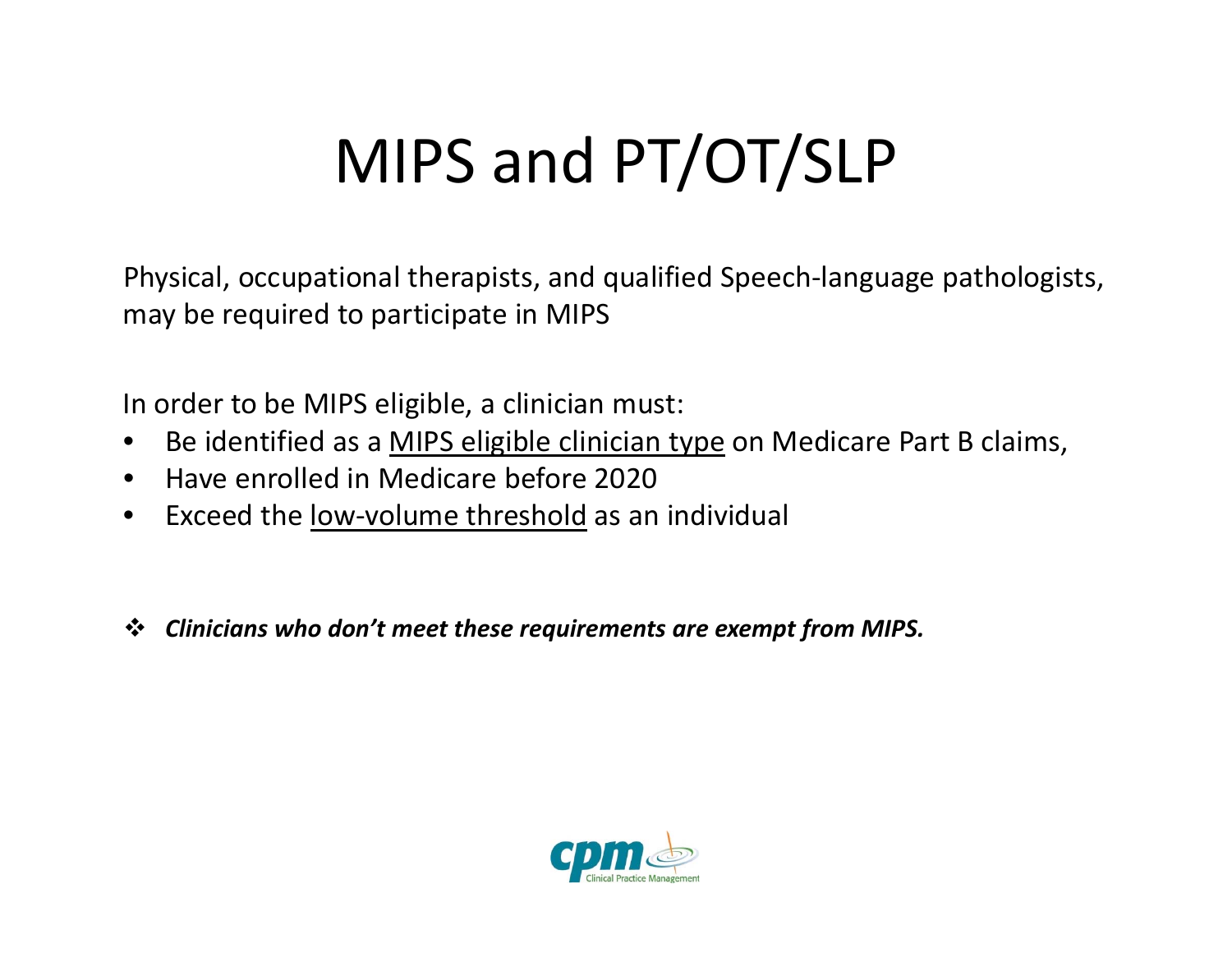## MIPS and PT/OT/SLP

Physical, occupational therapists, and qualified Speech‐language pathologists, may be required to participate in MIPS

In order to be MIPS eligible, <sup>a</sup> clinician must:

- $\bullet$ • Be identified as a <u>MIPS eligible clinician type</u> on Medicare Part B claims,
- Have enrolled in Medicare before 2020
- $\bullet$ ● Exceed the low-volume threshold as an individual
- *Clinicians who don't meet these requirements are exempt from MIPS.*

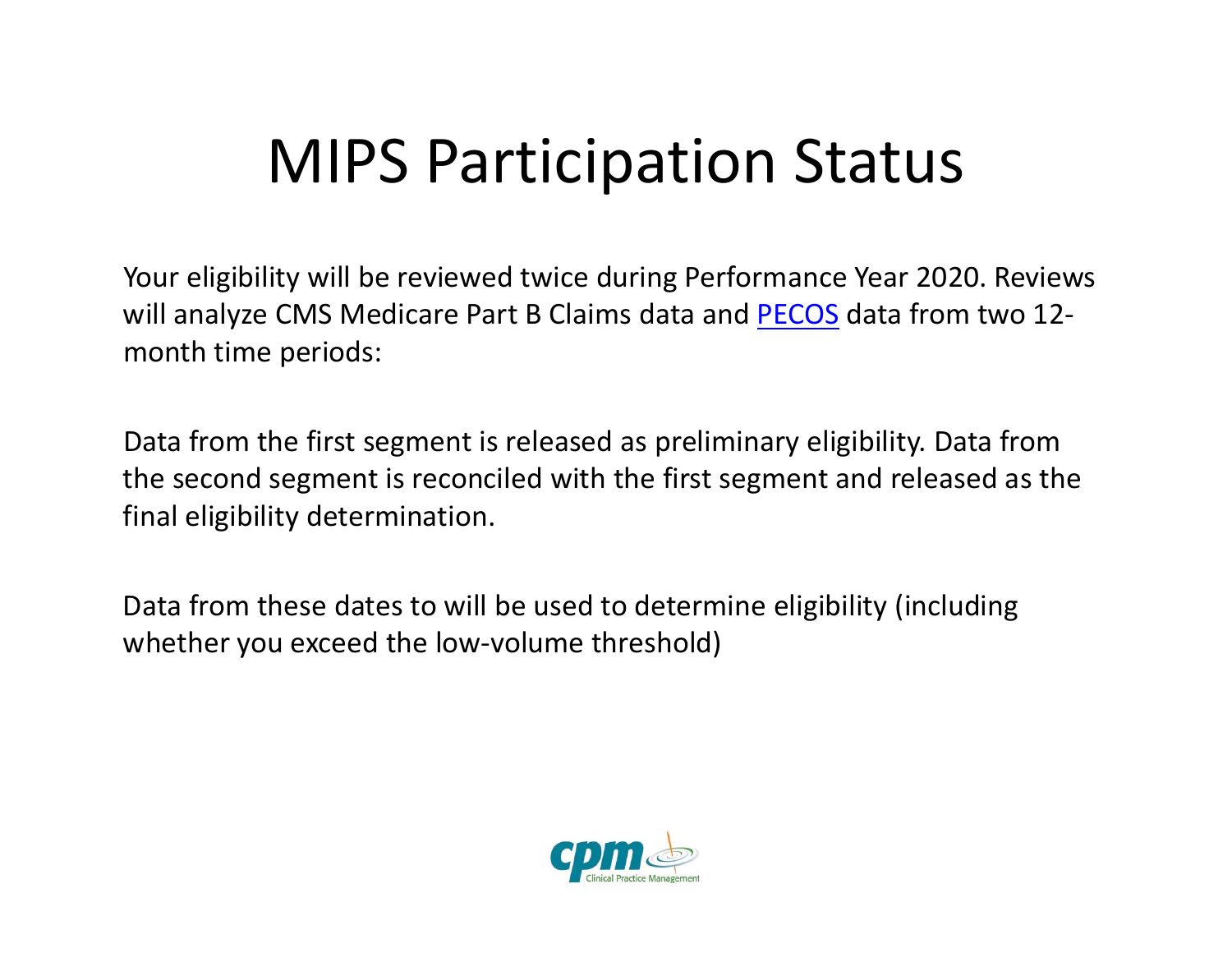### MIPS Participation Status

Your eligibility will be reviewed twice during Performance Year 2020. Reviews will analyze CMS Medicare Part B Claims data and <u>PECOS</u> data from two 12month time periods:

Data from the first segment is released as preliminary eligibility. Data from the second segment is reconciled with the first segment and released as the final eligibility determination.

Data from these dates to will be used to determine eligibility (including whether you exceed the low‐volume threshold)

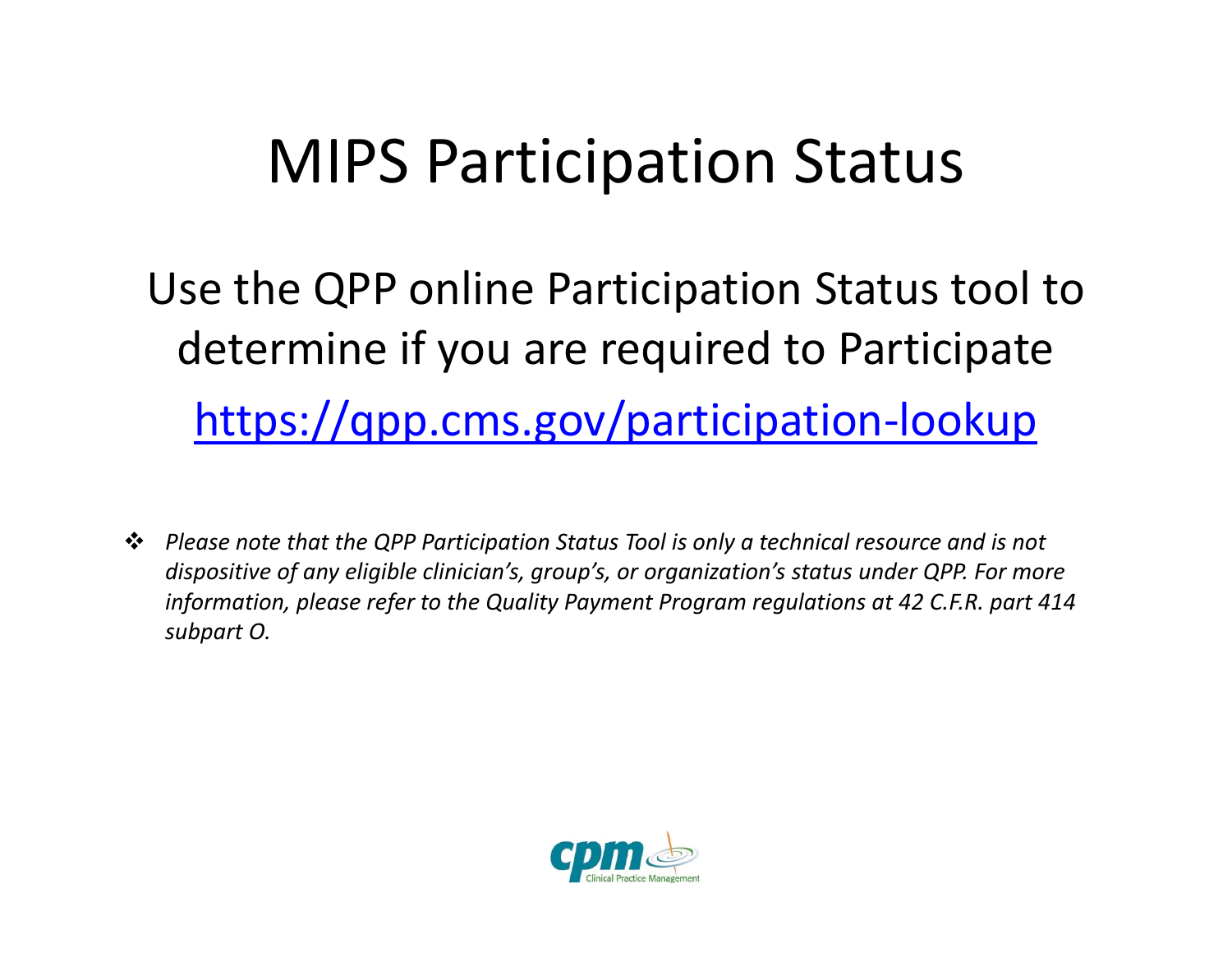#### MIPS Participation Status

Use the QPP online Participation Status tool to determine if you are required to Participate https://qpp.cms.gov/participation‐lookup

 *Please note that the QPP Participation Status Tool is only <sup>a</sup> technical resource and is not dispositive of any eligible clinician's, group's, or organization's status under QPP. For more information, please refer to the Quality Payment Program regulations at 42 C.F.R. part 414 subpart O.*

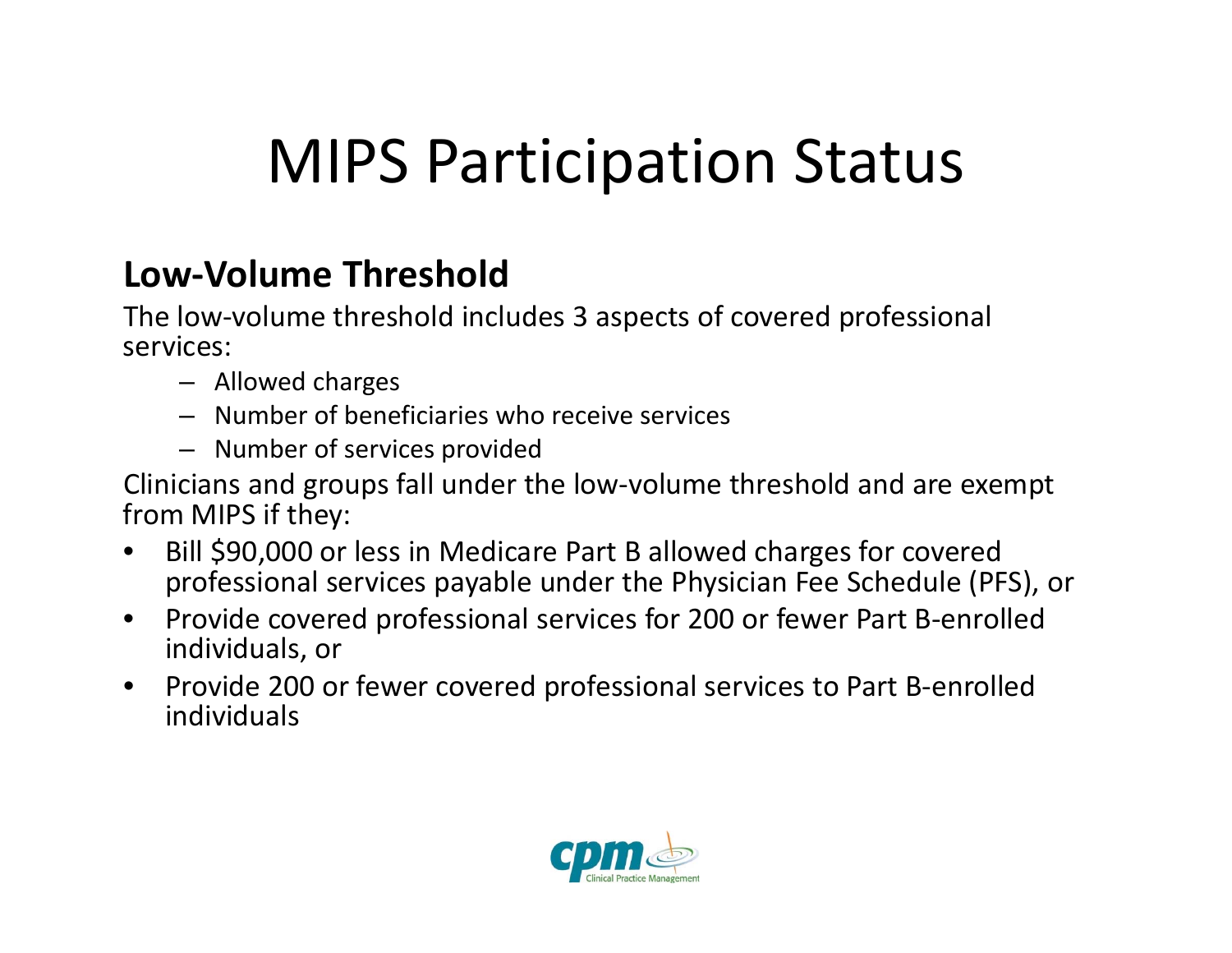## MIPS Participation Status

#### **Low‐Volume Threshold**

The low‐volume threshold includes 3 aspects of covered professional services:

- Allowed charges
- Number of beneficiaries who receive services
- Number of services provided

Clinicians and groups fall under the low‐volume threshold and are exempt from MIPS if they:

- $\bullet$  Bill \$90,000 or less in Medicare Part <sup>B</sup> allowed charges for covered professional services payable under the Physician Fee Schedule (PFS), or
- $\bullet$ ● Provide covered professional services for 200 or fewer Part B-enrolled individuals, or
- $\bullet$ ● Provide 200 or fewer covered professional services to Part B-enrolled individuals

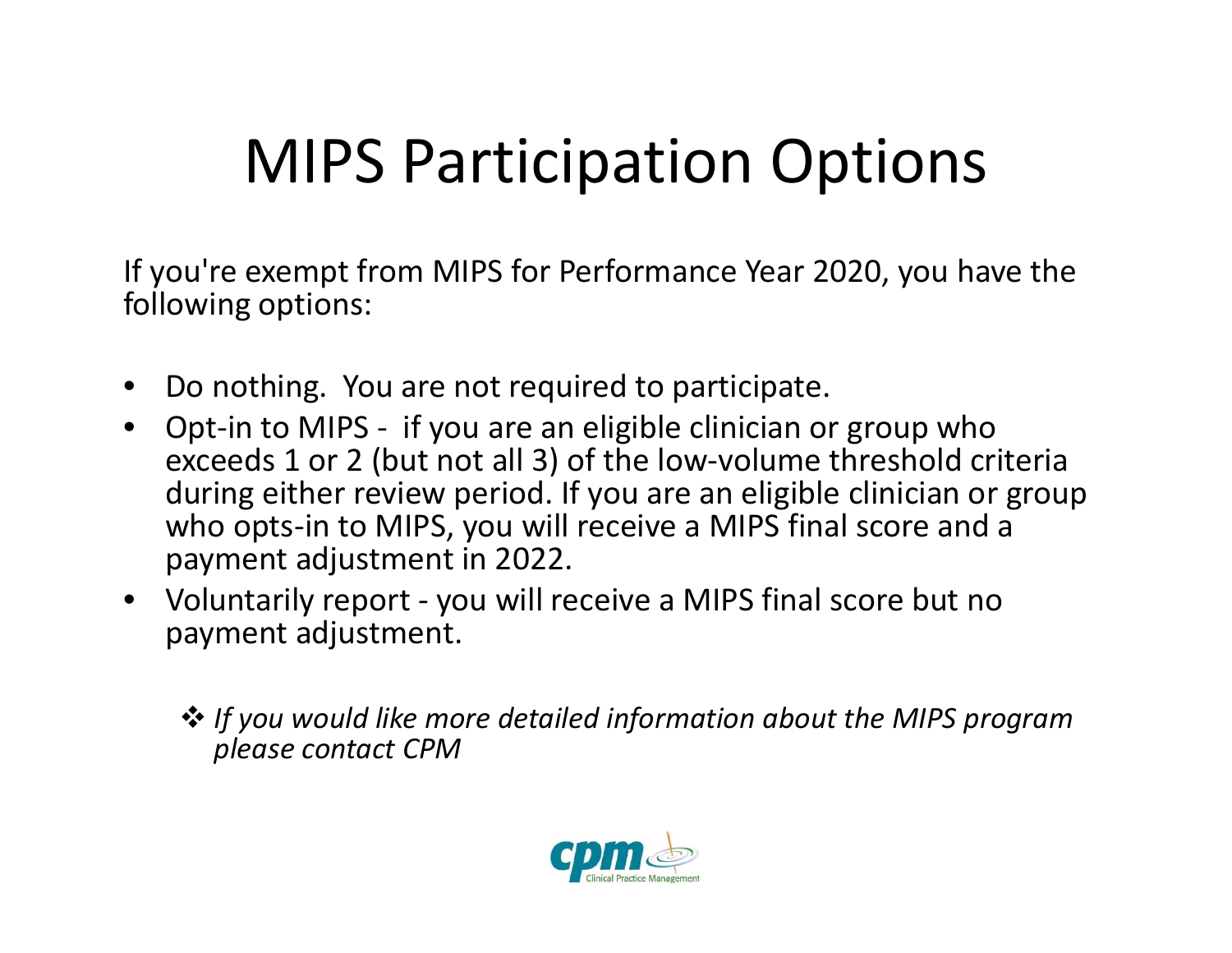## MIPS Participation Options

If you're exempt from MIPS for Performance Year 2020, you have the following options:

- •Do nothing. You are not required to participate.
- Opt‐in to MIPS ‐ if you are an eligible clinician or group who exceeds 1 or 2 (but not all 3) of the low‐volume threshold criteria during either review period. If you are an eligible clinician or group who opts‐in to MIPS, you will receive <sup>a</sup> MIPS final score and <sup>a</sup> payment adjustment in 2022.
- Voluntarily report ‐ you will receive <sup>a</sup> MIPS final score but no payment adjustment.
	- *If you would like more detailed information about the MIPS program please contact CPM*

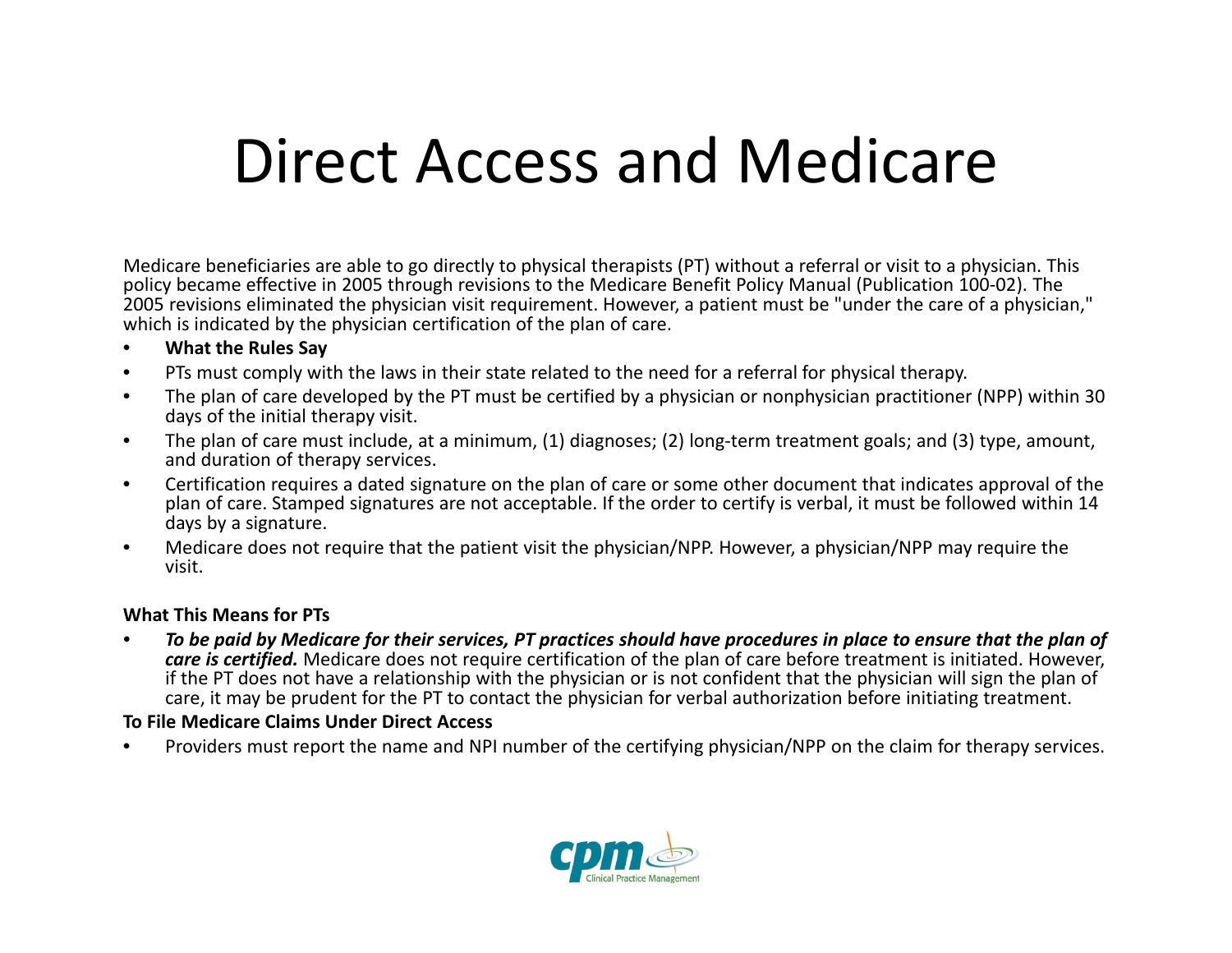#### Direct Access and Medicare

Medicare beneficiaries are able to go directly to physical therapists (PT) without <sup>a</sup> referral or visit to <sup>a</sup> physician. This policy became effective in 2005 through revisions to the Medicare Benefit Policy Manual (Publication 100‐02). The 2005 revisions eliminated the physician visit requirement. However, <sup>a</sup> patient must be "under the care of <sup>a</sup> physician," which is indicated by the physician certification of the plan of care.

- •**What the Rules Say**
- $\bullet$ PTs must comply with the laws in their state related to the need for <sup>a</sup> referral for physical therapy.
- $\bullet$  The plan of care developed by the PT must be certified by <sup>a</sup> physician or nonphysician practitioner (NPP) within 30 days of the initial therapy visit.
- • The plan of care must include, at <sup>a</sup> minimum, (1) diagnoses; (2) long‐term treatment goals; and (3) type, amount, and duration of therapy services.
- • Certification requires <sup>a</sup> dated signature on the plan of care or some other document that indicates approval of the plan of care. Stamped signatures are not acceptable. If the order to certify is verbal, it must be followed within 14 days by <sup>a</sup> signature.
- • Medicare does not require that the patient visit the physician/NPP. However, <sup>a</sup> physician/NPP may require the visit.

#### **What This Means for PTs**

•• To be paid by Medicare for their services, PT practices should have procedures in place to ensure that the plan of *care is certified.* Medicare does not require certification of the plan of care before treatment is initiated. However, if the PT does not have <sup>a</sup> relationship with the physician or is not confident that the physician will sign the plan of care, it may be prudent for the PT to contact the physician for verbal authorization before initiating treatment.

#### **To File Medicare Claims Under Direct Access**

•Providers must report the name and NPI number of the certifying physician/NPP on the claim for therapy services.

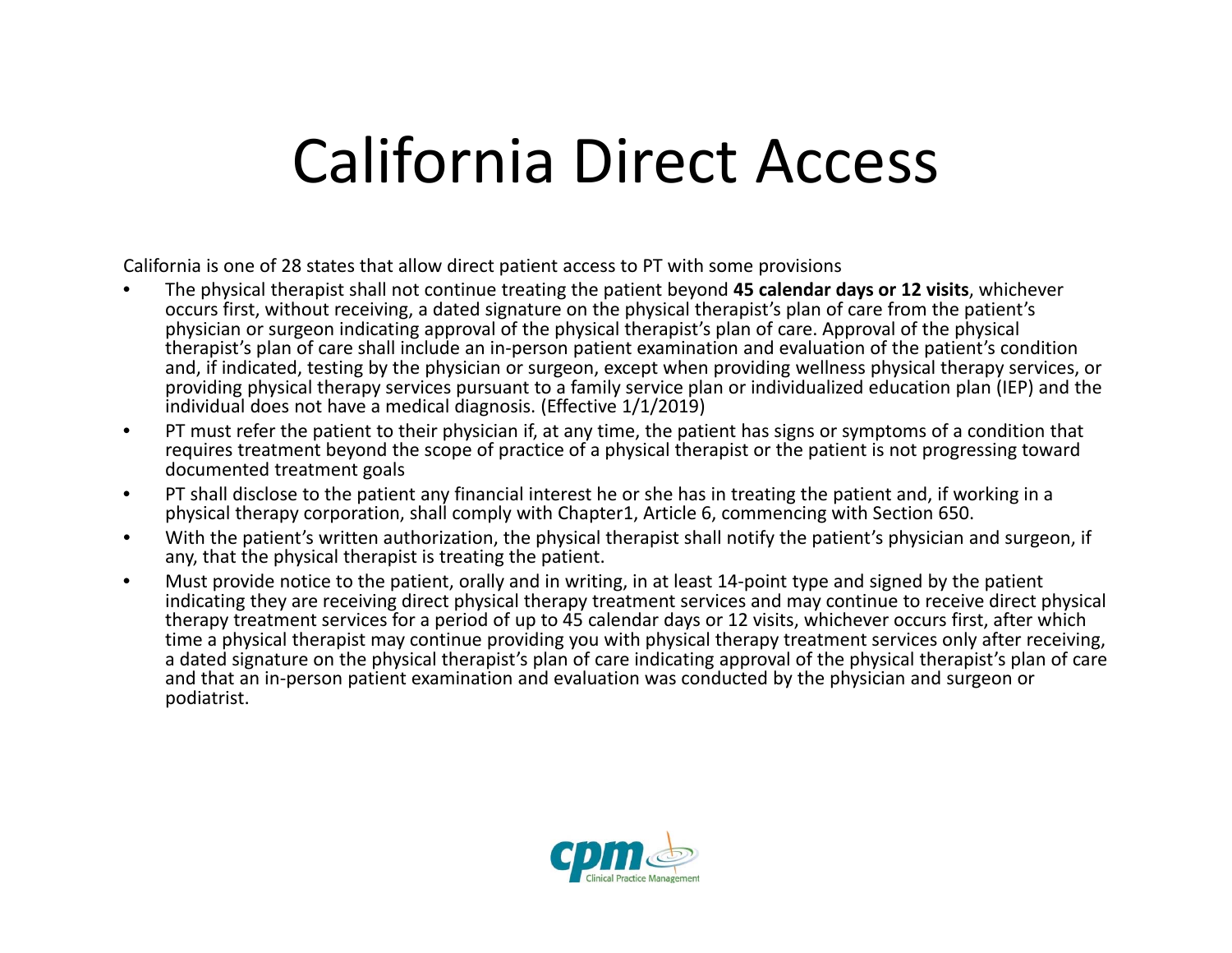#### California Direct Access

California is one of 28 states that allow direct patient access to PT with some provisions

- • The physical therapist shall not continue treating the patient beyond **45 calendar days or 12 visits**, whichever occurs first, without receiving, <sup>a</sup> dated signature on the physical therapist's plan of care from the patient's physician or surgeon indicating approval of the physical therapist's plan of care. Approval of the physical therapist's plan of care shall include an in‐person patient examination and evaluation of the patient's condition and, if indicated, testing by the physician or surgeon, except when providing wellness physical therapy services, or providing physical therapy services pursuant to <sup>a</sup> family service plan or individualized education plan (IEP) and the individual does not have <sup>a</sup> medical diagnosis. (Effective 1/1/2019)
- $\bullet$  PT must refer the patient to their physician if, at any time, the patient has signs or symptoms of <sup>a</sup> condition that requires treatment beyond the scope of practice of <sup>a</sup> physical therapist or the patient is not progressing toward documented treatment goals
- $\bullet$  PT shall disclose to the patient any financial interest he or she has in treating the patient and, if working in <sup>a</sup> physical therapy corporation, shall comply with Chapter1, Article 6, commencing with Section 650.
- • With the patient's written authorization, the physical therapist shall notify the patient's physician and surgeon, if any, that the physical therapist is treating the patient.
- • Must provide notice to the patient, orally and in writing, in at least 14‐point type and signed by the patient indicating they are receiving direct physical therapy treatment services and may continue to receive direct physical therapy treatment services for <sup>a</sup> period of up to 45 calendar days or 12 visits, whichever occurs first, after which time <sup>a</sup> physical therapist may continue providing you with physical therapy treatment services only after receiving, a dated signature on the physical therapist's plan of care indicating approval of the physical therapist's plan of care and that an in‐person patient examination and evaluation was conducted by the physician and surgeon or podiatrist.

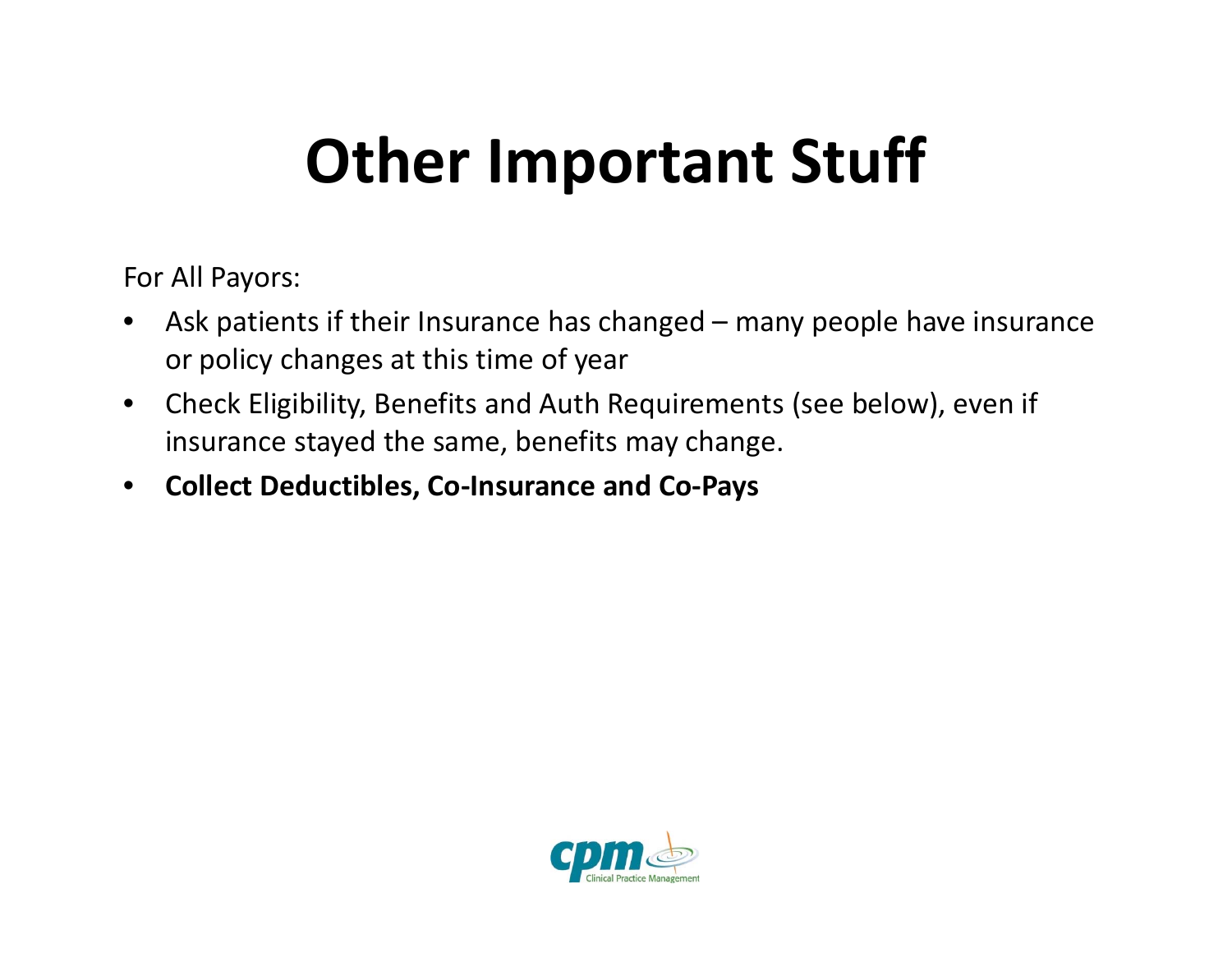### **Other Important Stuff**

For All Payors:

- $\bullet$  Ask patients if their Insurance has changed – many people have insurance or policy changes at this time of year
- $\bullet$  Check Eligibility, Benefits and Auth Requirements (see below), even if insurance stayed the same, benefits may change.
- $\bullet$ **Collect Deductibles, Co‐Insurance and Co‐Pays**

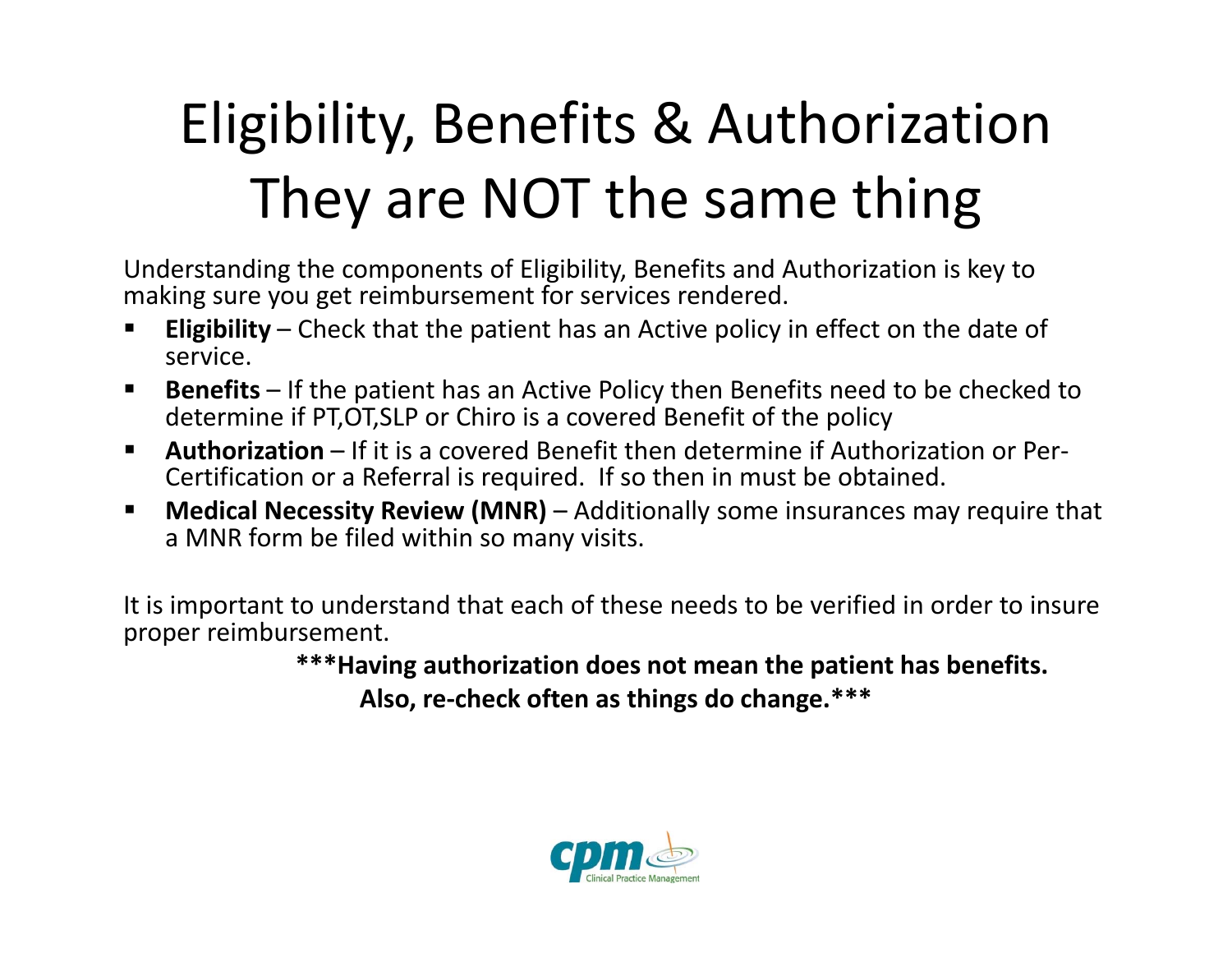## Eligibility, Benefits & Authorization They are NOT the same thing

Understanding the components of Eligibility, Benefits and Authorization is key to making sure you get reimbursement for services rendered.

- **Eligibility** – Check that the patient has an Active policy in effect on the date of service.
- $\blacksquare$  **Benefits** – If the patient has an Active Policy then Benefits need to be checked to determine if PT,OT,SLP or Chiro is <sup>a</sup> covered Benefit of the policy
- $\blacksquare$ ■ Authorization – If it is a covered Benefit then determine if Authorization or Per-Certification or <sup>a</sup> Referral is required. If so then in must be obtained.
- $\blacksquare$  **Medical Necessity Review (MNR)** – Additionally some insurances may require that a MNR form be filed within so many visits.

It is important to understand that each of these needs to be verified in order to insure proper reimbursement.

**\*\*\*Having authorization does not mean the patient has benefits.**

**Also, re‐check often as things do change.\*\*\***

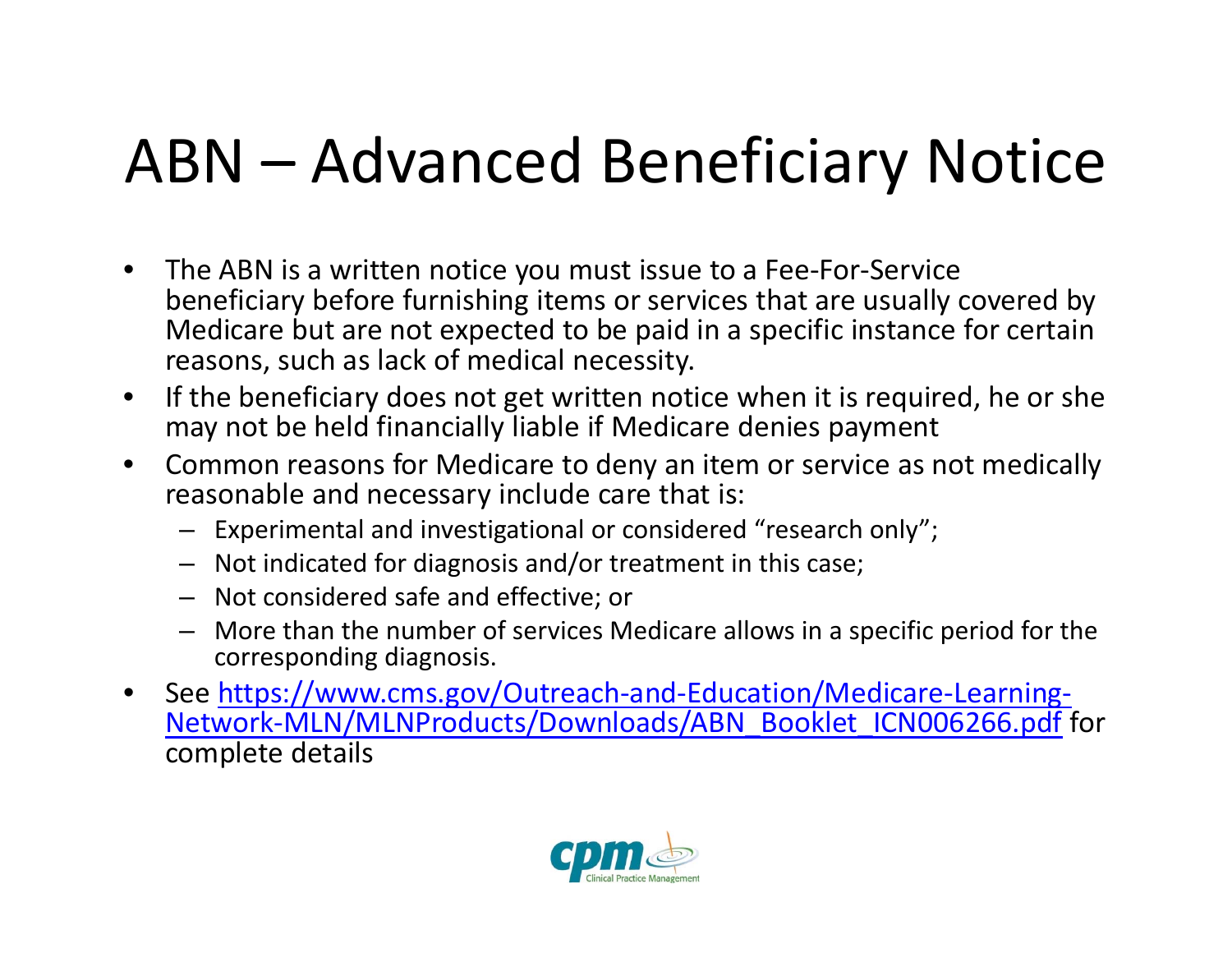## ABN – Advanced Beneficiary Notice

- • The ABN is <sup>a</sup> written notice you must issue to <sup>a</sup> Fee‐For‐Service beneficiary before furnishing items or services that are usually covered by Medicare but are not expected to be paid in <sup>a</sup> specific instance for certain reasons, such as lack of medical necessity.
- $\bullet$  $\bullet$  If the beneficiary does not get written notice when it is required, he or she may not be held financially liable if Medicare denies payment
- $\bullet$  Common reasons for Medicare to deny an item or service as not medically reasonable and necessary include care that is:
	- Experimental and investigational or considered "research only";
	- Not indicated for diagnosis and/or treatment in this case;
	- Not considered safe and effective; or
	- More than the number of services Medicare allows in <sup>a</sup> specific period for the corresponding diagnosis.
- $\bullet$ ● See https://www.cms.gov/Outreach-and-Education/Medicare-Learning-Network‐MLN/MLNProducts/Downloads/ABN\_Booklet\_ICN006266.pdf for complete details